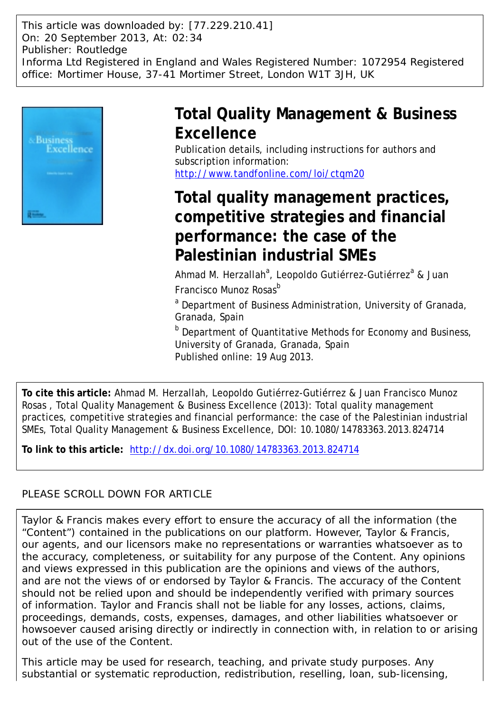This article was downloaded by: [77.229.210.41] On: 20 September 2013, At: 02:34 Publisher: Routledge Informa Ltd Registered in England and Wales Registered Number: 1072954 Registered office: Mortimer House, 37-41 Mortimer Street, London W1T 3JH, UK



## **Total Quality Management & Business Excellence**

Publication details, including instructions for authors and subscription information: <http://www.tandfonline.com/loi/ctqm20>

# **Total quality management practices, competitive strategies and financial performance: the case of the Palestinian industrial SMEs**

Ahmad M. Herzallah<sup>a</sup>, Leopoldo Gutiérrez-Gutiérrez<sup>a</sup> & Juan Francisco Munoz Rosas<sup>b</sup>

<sup>a</sup> Department of Business Administration, University of Granada, Granada, Spain

b Department of Quantitative Methods for Economy and Business, University of Granada, Granada, Spain Published online: 19 Aug 2013.

**To cite this article:** Ahmad M. Herzallah, Leopoldo Gutiérrez-Gutiérrez & Juan Francisco Munoz Rosas , Total Quality Management & Business Excellence (2013): Total quality management practices, competitive strategies and financial performance: the case of the Palestinian industrial SMEs, Total Quality Management & Business Excellence, DOI: 10.1080/14783363.2013.824714

**To link to this article:** <http://dx.doi.org/10.1080/14783363.2013.824714>

## PLEASE SCROLL DOWN FOR ARTICLE

Taylor & Francis makes every effort to ensure the accuracy of all the information (the "Content") contained in the publications on our platform. However, Taylor & Francis, our agents, and our licensors make no representations or warranties whatsoever as to the accuracy, completeness, or suitability for any purpose of the Content. Any opinions and views expressed in this publication are the opinions and views of the authors, and are not the views of or endorsed by Taylor & Francis. The accuracy of the Content should not be relied upon and should be independently verified with primary sources of information. Taylor and Francis shall not be liable for any losses, actions, claims, proceedings, demands, costs, expenses, damages, and other liabilities whatsoever or howsoever caused arising directly or indirectly in connection with, in relation to or arising out of the use of the Content.

This article may be used for research, teaching, and private study purposes. Any substantial or systematic reproduction, redistribution, reselling, loan, sub-licensing,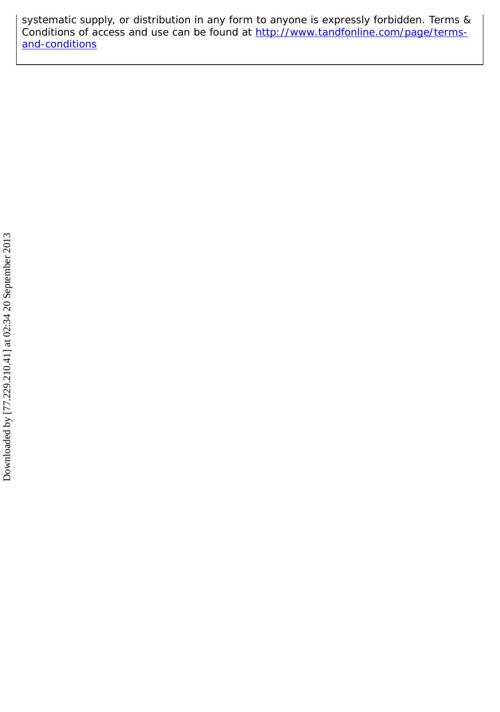systematic supply, or distribution in any form to anyone is expressly forbidden. Terms & Conditions of access and use can be found at [http://www.tandfonline.com/page/terms](http://www.tandfonline.com/page/terms-and-conditions)[and-conditions](http://www.tandfonline.com/page/terms-and-conditions)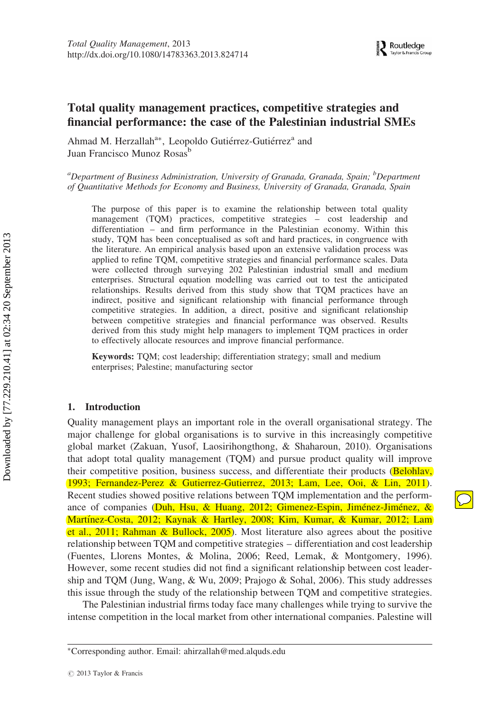## Total quality management practices, competitive strategies and financial performance: the case of the Palestinian industrial SMEs

Ahmad M. Herzallah<sup>a∗</sup>, Leopoldo Gutiérrez-Gutiérrez<sup>a</sup> and Juan Francisco Munoz Rosas<sup>b</sup>

<sup>a</sup>Department of Business Administration, University of Granada, Granada, Spain;  $^b$ Department of Quantitative Methods for Economy and Business, University of Granada, Granada, Spain

The purpose of this paper is to examine the relationship between total quality management (TQM) practices, competitive strategies – cost leadership and differentiation – and firm performance in the Palestinian economy. Within this study, TQM has been conceptualised as soft and hard practices, in congruence with the literature. An empirical analysis based upon an extensive validation process was applied to refine TQM, competitive strategies and financial performance scales. Data were collected through surveying 202 Palestinian industrial small and medium enterprises. Structural equation modelling was carried out to test the anticipated relationships. Results derived from this study show that TQM practices have an indirect, positive and significant relationship with financial performance through competitive strategies. In addition, a direct, positive and significant relationship between competitive strategies and financial performance was observed. Results derived from this study might help managers to implement TQM practices in order to effectively allocate resources and improve financial performance.

Keywords: TQM; cost leadership; differentiation strategy; small and medium enterprises; Palestine; manufacturing sector

#### 1. Introduction

Quality management plays an important role in the overall organisational strategy. The major challenge for global organisations is to survive in this increasingly competitive global market (Zakuan, Yusof, Laosirihongthong, & Shaharoun, 2010). Organisations that adopt total quality management (TQM) and pursue product quality will improve their competitive position, business success, and differentiate their products (Belohlav, 1993; Fernandez-Perez & Gutierrez-Gutierrez, 2013; Lam, Lee, Ooi, & Lin, 2011). Recent studies showed positive relations between TQM implementation and the performance of companies (Duh, Hsu, & Huang, 2012; Gimenez-Espin, Jiménez-Jiménez, & Martı´nez-Costa, 2012; Kaynak & Hartley, 2008; Kim, Kumar, & Kumar, 2012; Lam et al., 2011; Rahman & Bullock, 2005). Most literature also agrees about the positive relationship between TQM and competitive strategies – differentiation and cost leadership (Fuentes, Llorens Montes, & Molina, 2006; Reed, Lemak, & Montgomery, 1996). However, some recent studies did not find a significant relationship between cost leadership and TQM (Jung, Wang, & Wu, 2009; Prajogo & Sohal, 2006). This study addresses this issue through the study of the relationship between TQM and competitive strategies.

The Palestinian industrial firms today face many challenges while trying to survive the intense competition in the local market from other international companies. Palestine will

<sup>∗</sup>Corresponding author. Email: ahirzallah@med.alquds.edu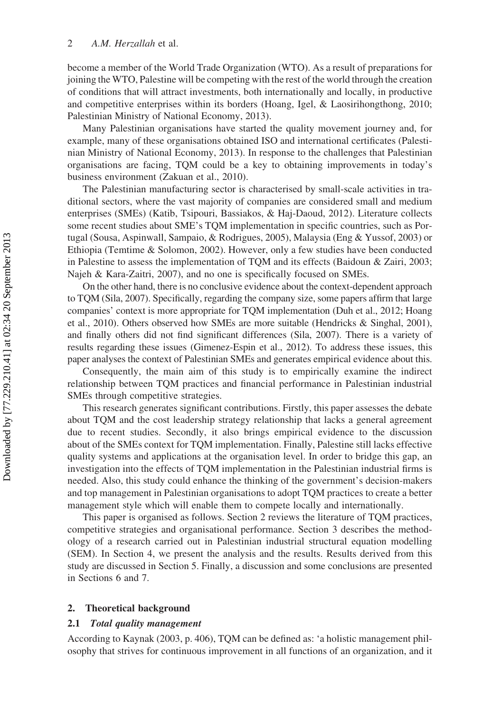become a member of the World Trade Organization (WTO). As a result of preparations for joining the WTO, Palestine will be competing with the rest of the world through the creation of conditions that will attract investments, both internationally and locally, in productive and competitive enterprises within its borders (Hoang, Igel, & Laosirihongthong, 2010; Palestinian Ministry of National Economy, 2013).

Many Palestinian organisations have started the quality movement journey and, for example, many of these organisations obtained ISO and international certificates (Palestinian Ministry of National Economy, 2013). In response to the challenges that Palestinian organisations are facing, TQM could be a key to obtaining improvements in today's business environment (Zakuan et al., 2010).

The Palestinian manufacturing sector is characterised by small-scale activities in traditional sectors, where the vast majority of companies are considered small and medium enterprises (SMEs) (Katib, Tsipouri, Bassiakos, & Haj-Daoud, 2012). Literature collects some recent studies about SME's TQM implementation in specific countries, such as Portugal (Sousa, Aspinwall, Sampaio, & Rodrigues, 2005), Malaysia (Eng & Yussof, 2003) or Ethiopia (Temtime & Solomon, 2002). However, only a few studies have been conducted in Palestine to assess the implementation of TQM and its effects (Baidoun & Zairi, 2003; Najeh & Kara-Zaitri, 2007), and no one is specifically focused on SMEs.

On the other hand, there is no conclusive evidence about the context-dependent approach to TQM (Sila, 2007). Specifically, regarding the company size, some papers affirm that large companies' context is more appropriate for TQM implementation (Duh et al., 2012; Hoang et al., 2010). Others observed how SMEs are more suitable (Hendricks & Singhal, 2001), and finally others did not find significant differences (Sila, 2007). There is a variety of results regarding these issues (Gimenez-Espin et al., 2012). To address these issues, this paper analyses the context of Palestinian SMEs and generates empirical evidence about this.

Consequently, the main aim of this study is to empirically examine the indirect relationship between TQM practices and financial performance in Palestinian industrial SMEs through competitive strategies.

This research generates significant contributions. Firstly, this paper assesses the debate about TQM and the cost leadership strategy relationship that lacks a general agreement due to recent studies. Secondly, it also brings empirical evidence to the discussion about of the SMEs context for TQM implementation. Finally, Palestine still lacks effective quality systems and applications at the organisation level. In order to bridge this gap, an investigation into the effects of TQM implementation in the Palestinian industrial firms is needed. Also, this study could enhance the thinking of the government's decision-makers and top management in Palestinian organisations to adopt TQM practices to create a better management style which will enable them to compete locally and internationally.

This paper is organised as follows. Section 2 reviews the literature of TQM practices, competitive strategies and organisational performance. Section 3 describes the methodology of a research carried out in Palestinian industrial structural equation modelling (SEM). In Section 4, we present the analysis and the results. Results derived from this study are discussed in Section 5. Finally, a discussion and some conclusions are presented in Sections 6 and 7.

#### 2. Theoretical background

#### 2.1 Total quality management

According to Kaynak (2003, p. 406), TQM can be defined as: 'a holistic management philosophy that strives for continuous improvement in all functions of an organization, and it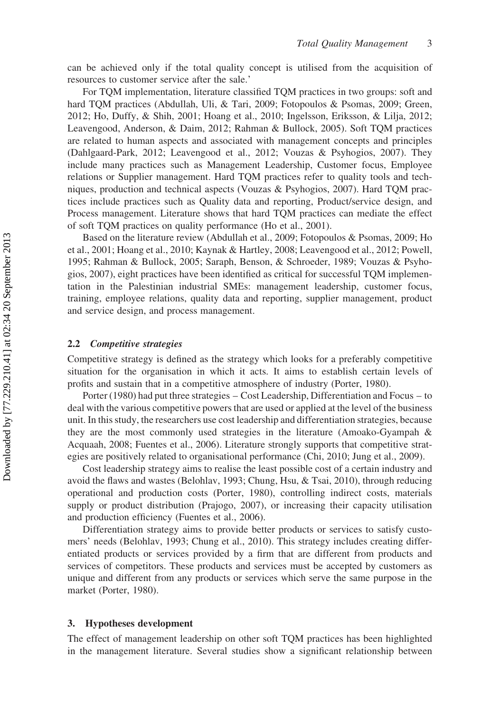can be achieved only if the total quality concept is utilised from the acquisition of resources to customer service after the sale.'

For TQM implementation, literature classified TQM practices in two groups: soft and hard TQM practices (Abdullah, Uli, & Tari, 2009; Fotopoulos & Psomas, 2009; Green, 2012; Ho, Duffy, & Shih, 2001; Hoang et al., 2010; Ingelsson, Eriksson, & Lilja, 2012; Leavengood, Anderson, & Daim, 2012; Rahman & Bullock, 2005). Soft TQM practices are related to human aspects and associated with management concepts and principles (Dahlgaard-Park, 2012; Leavengood et al., 2012; Vouzas & Psyhogios, 2007). They include many practices such as Management Leadership, Customer focus, Employee relations or Supplier management. Hard TQM practices refer to quality tools and techniques, production and technical aspects (Vouzas & Psyhogios, 2007). Hard TQM practices include practices such as Quality data and reporting, Product/service design, and Process management. Literature shows that hard TQM practices can mediate the effect of soft TQM practices on quality performance (Ho et al., 2001).

Based on the literature review (Abdullah et al., 2009; Fotopoulos & Psomas, 2009; Ho et al., 2001; Hoang et al., 2010; Kaynak & Hartley, 2008; Leavengood et al., 2012; Powell, 1995; Rahman & Bullock, 2005; Saraph, Benson, & Schroeder, 1989; Vouzas & Psyhogios, 2007), eight practices have been identified as critical for successful TQM implementation in the Palestinian industrial SMEs: management leadership, customer focus, training, employee relations, quality data and reporting, supplier management, product and service design, and process management.

#### 2.2 Competitive strategies

Competitive strategy is defined as the strategy which looks for a preferably competitive situation for the organisation in which it acts. It aims to establish certain levels of profits and sustain that in a competitive atmosphere of industry (Porter, 1980).

Porter (1980) had put three strategies – Cost Leadership, Differentiation and Focus – to deal with the various competitive powers that are used or applied at the level of the business unit. In this study, the researchers use cost leadership and differentiation strategies, because they are the most commonly used strategies in the literature (Amoako-Gyampah & Acquaah, 2008; Fuentes et al., 2006). Literature strongly supports that competitive strategies are positively related to organisational performance (Chi, 2010; Jung et al., 2009).

Cost leadership strategy aims to realise the least possible cost of a certain industry and avoid the flaws and wastes (Belohlav, 1993; Chung, Hsu, & Tsai, 2010), through reducing operational and production costs (Porter, 1980), controlling indirect costs, materials supply or product distribution (Prajogo, 2007), or increasing their capacity utilisation and production efficiency (Fuentes et al., 2006).

Differentiation strategy aims to provide better products or services to satisfy customers' needs (Belohlav, 1993; Chung et al., 2010). This strategy includes creating differentiated products or services provided by a firm that are different from products and services of competitors. These products and services must be accepted by customers as unique and different from any products or services which serve the same purpose in the market (Porter, 1980).

#### 3. Hypotheses development

The effect of management leadership on other soft TQM practices has been highlighted in the management literature. Several studies show a significant relationship between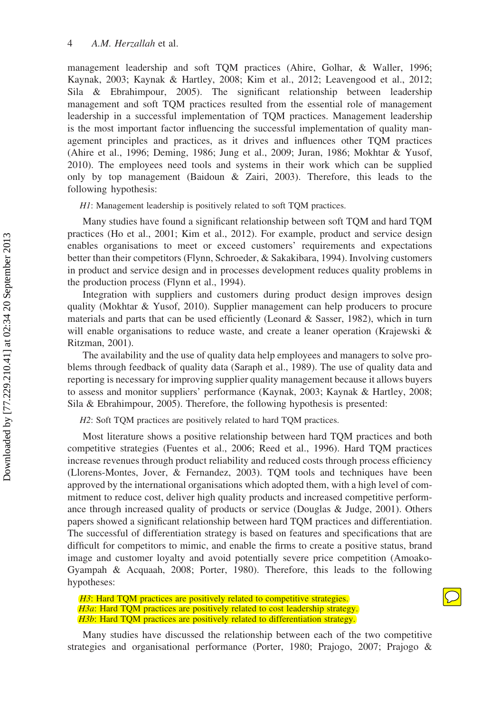management leadership and soft TQM practices (Ahire, Golhar, & Waller, 1996; Kaynak, 2003; Kaynak & Hartley, 2008; Kim et al., 2012; Leavengood et al., 2012; Sila & Ebrahimpour, 2005). The significant relationship between leadership management and soft TQM practices resulted from the essential role of management leadership in a successful implementation of TQM practices. Management leadership is the most important factor influencing the successful implementation of quality management principles and practices, as it drives and influences other TQM practices (Ahire et al., 1996; Deming, 1986; Jung et al., 2009; Juran, 1986; Mokhtar & Yusof, 2010). The employees need tools and systems in their work which can be supplied only by top management (Baidoun  $\&$  Zairi, 2003). Therefore, this leads to the following hypothesis:

H1: Management leadership is positively related to soft TQM practices.

Many studies have found a significant relationship between soft TQM and hard TQM practices (Ho et al., 2001; Kim et al., 2012). For example, product and service design enables organisations to meet or exceed customers' requirements and expectations better than their competitors (Flynn, Schroeder, & Sakakibara, 1994). Involving customers in product and service design and in processes development reduces quality problems in the production process (Flynn et al., 1994).

Integration with suppliers and customers during product design improves design quality (Mokhtar & Yusof, 2010). Supplier management can help producers to procure materials and parts that can be used efficiently (Leonard & Sasser, 1982), which in turn will enable organisations to reduce waste, and create a leaner operation (Krajewski & Ritzman, 2001).

The availability and the use of quality data help employees and managers to solve problems through feedback of quality data (Saraph et al., 1989). The use of quality data and reporting is necessary for improving supplier quality management because it allows buyers to assess and monitor suppliers' performance (Kaynak, 2003; Kaynak & Hartley, 2008; Sila & Ebrahimpour, 2005). Therefore, the following hypothesis is presented:

H2: Soft TQM practices are positively related to hard TQM practices.

Most literature shows a positive relationship between hard TQM practices and both competitive strategies (Fuentes et al., 2006; Reed et al., 1996). Hard TQM practices increase revenues through product reliability and reduced costs through process efficiency (Llorens-Montes, Jover, & Fernandez, 2003). TQM tools and techniques have been approved by the international organisations which adopted them, with a high level of commitment to reduce cost, deliver high quality products and increased competitive performance through increased quality of products or service (Douglas & Judge, 2001). Others papers showed a significant relationship between hard TQM practices and differentiation. The successful of differentiation strategy is based on features and specifications that are difficult for competitors to mimic, and enable the firms to create a positive status, brand image and customer loyalty and avoid potentially severe price competition (Amoako-Gyampah & Acquaah, 2008; Porter, 1980). Therefore, this leads to the following hypotheses:

H3: Hard TQM practices are positively related to competitive strategies. H3a: Hard TQM practices are positively related to cost leadership strategy. H3b: Hard TQM practices are positively related to differentiation strategy.

Many studies have discussed the relationship between each of the two competitive strategies and organisational performance (Porter, 1980; Prajogo, 2007; Prajogo &

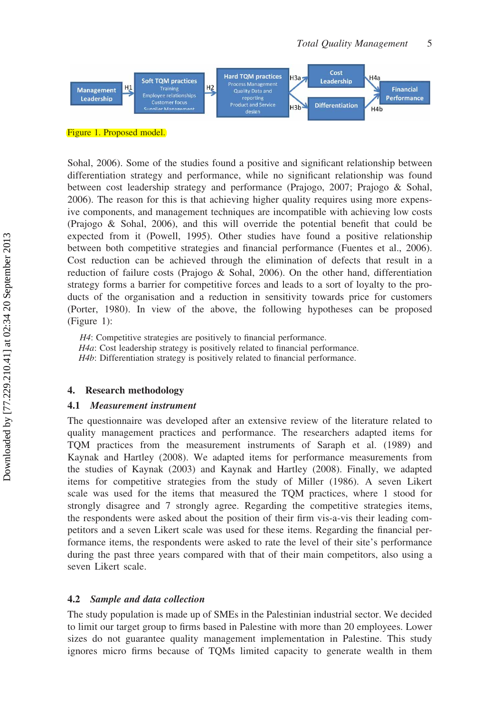

Figure 1. Proposed model.

Sohal, 2006). Some of the studies found a positive and significant relationship between differentiation strategy and performance, while no significant relationship was found between cost leadership strategy and performance (Prajogo, 2007; Prajogo & Sohal, 2006). The reason for this is that achieving higher quality requires using more expensive components, and management techniques are incompatible with achieving low costs (Prajogo & Sohal, 2006), and this will override the potential benefit that could be expected from it (Powell, 1995). Other studies have found a positive relationship between both competitive strategies and financial performance (Fuentes et al., 2006). Cost reduction can be achieved through the elimination of defects that result in a reduction of failure costs (Prajogo & Sohal, 2006). On the other hand, differentiation strategy forms a barrier for competitive forces and leads to a sort of loyalty to the products of the organisation and a reduction in sensitivity towards price for customers (Porter, 1980). In view of the above, the following hypotheses can be proposed (Figure 1):

H4: Competitive strategies are positively to financial performance. H4a: Cost leadership strategy is positively related to financial performance. H4b: Differentiation strategy is positively related to financial performance.

#### 4. Research methodology

#### 4.1 Measurement instrument

The questionnaire was developed after an extensive review of the literature related to quality management practices and performance. The researchers adapted items for TQM practices from the measurement instruments of Saraph et al. (1989) and Kaynak and Hartley (2008). We adapted items for performance measurements from the studies of Kaynak (2003) and Kaynak and Hartley (2008). Finally, we adapted items for competitive strategies from the study of Miller (1986). A seven Likert scale was used for the items that measured the TQM practices, where 1 stood for strongly disagree and 7 strongly agree. Regarding the competitive strategies items, the respondents were asked about the position of their firm vis-a-vis their leading competitors and a seven Likert scale was used for these items. Regarding the financial performance items, the respondents were asked to rate the level of their site's performance during the past three years compared with that of their main competitors, also using a seven Likert scale.

#### 4.2 Sample and data collection

The study population is made up of SMEs in the Palestinian industrial sector. We decided to limit our target group to firms based in Palestine with more than 20 employees. Lower sizes do not guarantee quality management implementation in Palestine. This study ignores micro firms because of TQMs limited capacity to generate wealth in them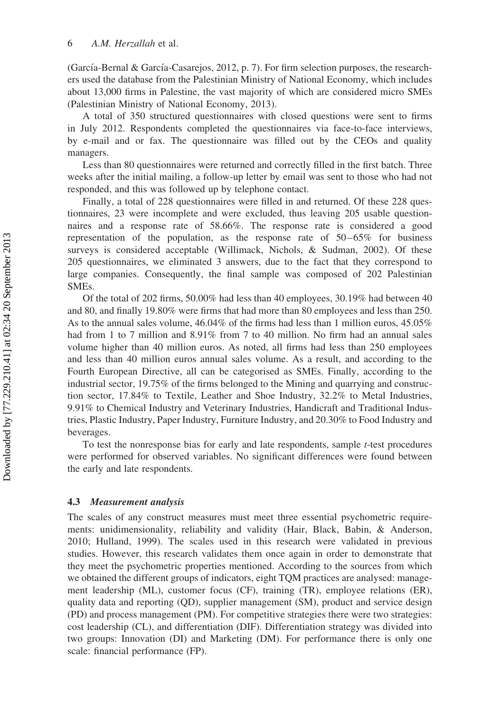(García-Bernal & García-Casarejos, 2012, p. 7). For firm selection purposes, the researchers used the database from the Palestinian Ministry of National Economy, which includes about 13,000 firms in Palestine, the vast majority of which are considered micro SMEs (Palestinian Ministry of National Economy, 2013).

A total of 350 structured questionnaires with closed questions were sent to firms in July 2012. Respondents completed the questionnaires via face-to-face interviews, by e-mail and or fax. The questionnaire was filled out by the CEOs and quality managers.

Less than 80 questionnaires were returned and correctly filled in the first batch. Three weeks after the initial mailing, a follow-up letter by email was sent to those who had not responded, and this was followed up by telephone contact.

Finally, a total of 228 questionnaires were filled in and returned. Of these 228 questionnaires, 23 were incomplete and were excluded, thus leaving 205 usable questionnaires and a response rate of 58.66%. The response rate is considered a good representation of the population, as the response rate of  $50-65\%$  for business surveys is considered acceptable (Willimack, Nichols, & Sudman, 2002). Of these 205 questionnaires, we eliminated 3 answers, due to the fact that they correspond to large companies. Consequently, the final sample was composed of 202 Palestinian SMEs.

Of the total of 202 firms, 50.00% had less than 40 employees, 30.19% had between 40 and 80, and finally 19.80% were firms that had more than 80 employees and less than 250. As to the annual sales volume, 46.04% of the firms had less than 1 million euros, 45.05% had from 1 to 7 million and 8.91% from 7 to 40 million. No firm had an annual sales volume higher than 40 million euros. As noted, all firms had less than 250 employees and less than 40 million euros annual sales volume. As a result, and according to the Fourth European Directive, all can be categorised as SMEs. Finally, according to the industrial sector, 19.75% of the firms belonged to the Mining and quarrying and construction sector, 17.84% to Textile, Leather and Shoe Industry, 32.2% to Metal Industries, 9.91% to Chemical Industry and Veterinary Industries, Handicraft and Traditional Industries, Plastic Industry, Paper Industry, Furniture Industry, and 20.30% to Food Industry and beverages.

To test the nonresponse bias for early and late respondents, sample  $t$ -test procedures were performed for observed variables. No significant differences were found between the early and late respondents.

#### 4.3 Measurement analysis

The scales of any construct measures must meet three essential psychometric requirements: unidimensionality, reliability and validity (Hair, Black, Babin, & Anderson, 2010; Hulland, 1999). The scales used in this research were validated in previous studies. However, this research validates them once again in order to demonstrate that they meet the psychometric properties mentioned. According to the sources from which we obtained the different groups of indicators, eight TQM practices are analysed: management leadership (ML), customer focus (CF), training (TR), employee relations (ER), quality data and reporting (QD), supplier management (SM), product and service design (PD) and process management (PM). For competitive strategies there were two strategies: cost leadership (CL), and differentiation (DIF). Differentiation strategy was divided into two groups: Innovation (DI) and Marketing (DM). For performance there is only one scale: financial performance (FP).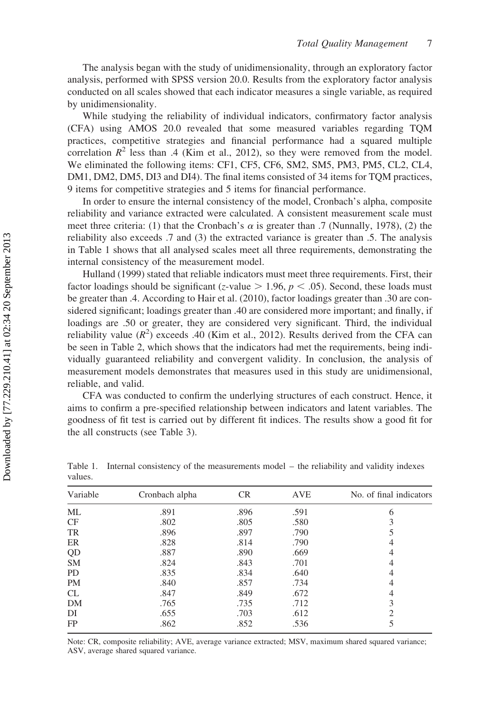The analysis began with the study of unidimensionality, through an exploratory factor analysis, performed with SPSS version 20.0. Results from the exploratory factor analysis conducted on all scales showed that each indicator measures a single variable, as required by unidimensionality.

While studying the reliability of individual indicators, confirmatory factor analysis (CFA) using AMOS 20.0 revealed that some measured variables regarding TQM practices, competitive strategies and financial performance had a squared multiple correlation  $R^2$  less than .4 (Kim et al., 2012), so they were removed from the model. We eliminated the following items: CF1, CF5, CF6, SM2, SM5, PM3, PM5, CL2, CL4, DM1, DM2, DM5, DI3 and DI4). The final items consisted of 34 items for TQM practices, 9 items for competitive strategies and 5 items for financial performance.

In order to ensure the internal consistency of the model, Cronbach's alpha, composite reliability and variance extracted were calculated. A consistent measurement scale must meet three criteria: (1) that the Cronbach's  $\alpha$  is greater than .7 (Nunnally, 1978), (2) the reliability also exceeds .7 and (3) the extracted variance is greater than .5. The analysis in Table 1 shows that all analysed scales meet all three requirements, demonstrating the internal consistency of the measurement model.

Hulland (1999) stated that reliable indicators must meet three requirements. First, their factor loadings should be significant (z-value  $> 1.96$ ,  $p < .05$ ). Second, these loads must be greater than .4. According to Hair et al. (2010), factor loadings greater than .30 are considered significant; loadings greater than .40 are considered more important; and finally, if loadings are .50 or greater, they are considered very significant. Third, the individual reliability value  $(R^2)$  exceeds .40 (Kim et al., 2012). Results derived from the CFA can be seen in Table 2, which shows that the indicators had met the requirements, being individually guaranteed reliability and convergent validity. In conclusion, the analysis of measurement models demonstrates that measures used in this study are unidimensional, reliable, and valid.

CFA was conducted to confirm the underlying structures of each construct. Hence, it aims to confirm a pre-specified relationship between indicators and latent variables. The goodness of fit test is carried out by different fit indices. The results show a good fit for the all constructs (see Table 3).

| Variable  | Cronbach alpha | <b>CR</b> | <b>AVE</b> | No. of final indicators |
|-----------|----------------|-----------|------------|-------------------------|
| МL        | .891           | .896      | .591       | 6                       |
| CF        | .802           | .805      | .580       | 3                       |
| TR        | .896           | .897      | .790       |                         |
| ER        | .828           | .814      | .790       | 4                       |
| QD        | .887           | .890      | .669       | 4                       |
| <b>SM</b> | .824           | .843      | .701       | 4                       |
| PD        | .835           | .834      | .640       | 4                       |
| PM        | .840           | .857      | .734       | 4                       |
| CL        | .847           | .849      | .672       | 4                       |
| DM        | .765           | .735      | .712       | 3                       |
| DI        | .655           | .703      | .612       | 2                       |
| FP        | .862           | .852      | .536       |                         |
|           |                |           |            |                         |

Table 1. Internal consistency of the measurements model – the reliability and validity indexes values.

Note: CR, composite reliability; AVE, average variance extracted; MSV, maximum shared squared variance; ASV, average shared squared variance.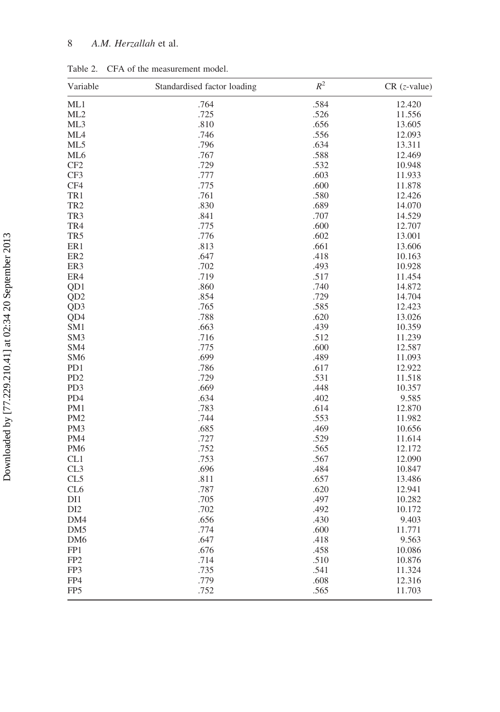### 8 A.M. Herzallah et al.

| Variable        | Standardised factor loading | $R^2$        | $CR$ ( <i>z</i> -value) |
|-----------------|-----------------------------|--------------|-------------------------|
| ML1             | .764                        | .584         | 12.420                  |
| ML2             | .725                        | .526         | 11.556                  |
| ML3             | .810                        | .656         | 13.605                  |
| ML <sub>4</sub> | .746                        | .556         | 12.093                  |
| ML5             | .796                        | .634         | 13.311                  |
| ML <sub>6</sub> | .767                        | .588         | 12.469                  |
| CF2             | .729                        | .532         | 10.948                  |
| CF3             | .777                        | .603         | 11.933                  |
| CF4             | .775                        | .600         | 11.878                  |
| TR1             | .761                        | .580         | 12.426                  |
| TR <sub>2</sub> | .830                        | .689         | 14.070                  |
| TR3             | .841                        | .707         | 14.529                  |
| TR4             | .775                        | .600         | 12.707                  |
| TR <sub>5</sub> | .776                        | .602         | 13.001                  |
| ER1             | .813                        | .661         | 13.606                  |
| ER <sub>2</sub> | .647                        | .418         | 10.163                  |
| ER3             | .702                        | .493         | 10.928                  |
| ER4             | .719                        | .517         | 11.454                  |
| OD <sub>1</sub> | .860                        | .740         | 14.872                  |
| QD <sub>2</sub> | .854                        | .729         | 14.704                  |
| QD <sub>3</sub> | .765                        | .585         | 12.423                  |
| QD4             | .788                        | .620         | 13.026                  |
| SM1             | .663                        | .439         | 10.359                  |
| SM <sub>3</sub> | .716                        | .512         | 11.239                  |
| SM4             | .775                        | .600         | 12.587                  |
| SM <sub>6</sub> | .699                        | .489         |                         |
| PD1             | .786                        | .617         | 11.093<br>12.922        |
| PD <sub>2</sub> | .729                        | .531         |                         |
| PD <sub>3</sub> |                             |              | 11.518                  |
|                 | .669                        | .448<br>.402 | 10.357                  |
| PD4             | .634                        |              | 9.585                   |
| PM1             | .783                        | .614         | 12.870                  |
| PM <sub>2</sub> | .744                        | .553         | 11.982                  |
| PM <sub>3</sub> | .685                        | .469         | 10.656                  |
| PM4             | .727                        | .529         | 11.614                  |
| PM <sub>6</sub> | .752                        | .565         | 12.172                  |
| CL1             | .753                        | .567         | 12.090                  |
| CL3             | .696                        | .484         | 10.847                  |
| CL5             | .811                        | .657         | 13.486                  |
| CL <sub>6</sub> | .787                        | .620         | 12.941                  |
| DI1             | .705                        | .497         | 10.282                  |
| DI2             | .702                        | .492         | 10.172                  |
| DM4             | .656                        | .430         | 9.403                   |
| DM <sub>5</sub> | .774                        | .600         | 11.771                  |
| DM <sub>6</sub> | .647                        | .418         | 9.563                   |
| FP1             | .676                        | .458         | 10.086                  |
| FP <sub>2</sub> | .714                        | .510         | 10.876                  |
| FP3             | .735                        | .541         | 11.324                  |
| FP4             | .779                        | .608         | 12.316                  |
| FP <sub>5</sub> | .752                        | .565         | 11.703                  |

Table 2. CFA of the measurement model.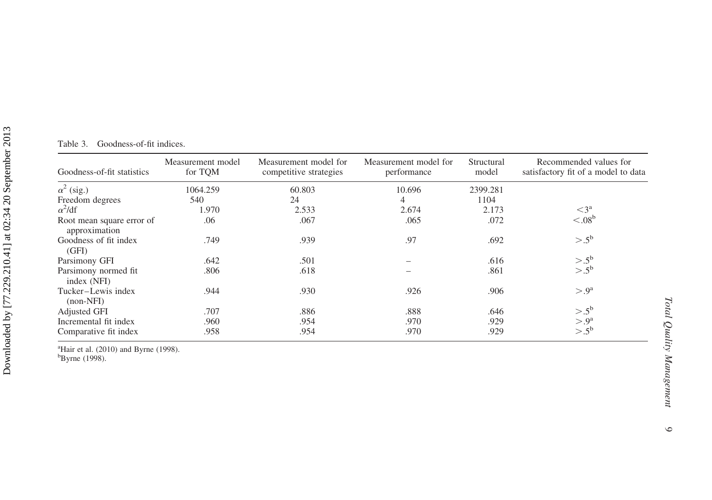| Table 3. | Goodness-of-fit indices. |
|----------|--------------------------|
|          |                          |

| Goodness-of-fit statistics                 | Measurement model<br>for TQM | Measurement model for<br>competitive strategies | Measurement model for<br>performance | Structural<br>model | Recommended values for<br>satisfactory fit of a model to data |
|--------------------------------------------|------------------------------|-------------------------------------------------|--------------------------------------|---------------------|---------------------------------------------------------------|
| $\alpha^2$ (sig.)                          | 1064.259                     | 60.803                                          | 10.696                               | 2399.281            |                                                               |
| Freedom degrees                            | 540                          | 24                                              | $\overline{4}$                       | 1104                |                                                               |
| $\alpha^2$ /df                             | 1.970                        | 2.533                                           | 2.674                                | 2.173               | $\leq$ 3 <sup>a</sup>                                         |
| Root mean square error of<br>approximation | .06                          | .067                                            | .065                                 | .072                | $\leq 0.08^{\rm b}$                                           |
| Goodness of fit index<br>(GFI)             | .749                         | .939                                            | .97                                  | .692                | $> 0.5^{\rm b}$                                               |
| Parsimony GFI                              | .642                         | .501                                            |                                      | .616                | $> 0.5^{\rm b}$                                               |
| Parsimony normed fit<br>index (NFI)        | .806                         | .618                                            |                                      | .861                | $> 0.5^{\rm b}$                                               |
| Tucker-Lewis index<br>$non-NFI$            | .944                         | .930                                            | .926                                 | .906                | $> 0^a$                                                       |
| <b>Adjusted GFI</b>                        | .707                         | .886                                            | .888                                 | .646                | $> 0.5^{\rm b}$                                               |
| Incremental fit index                      | .960                         | .954                                            | .970                                 | .929                | $> 0^a$                                                       |
| Comparative fit index                      | .958                         | .954                                            | .970                                 | .929                | $> .5^{\rm b}$                                                |

 ${}^{a}\text{Hair}$  et al. (2010) and Byrne (1998).<br> ${}^{b}\text{Byrne}$  (1998).

 $\circ$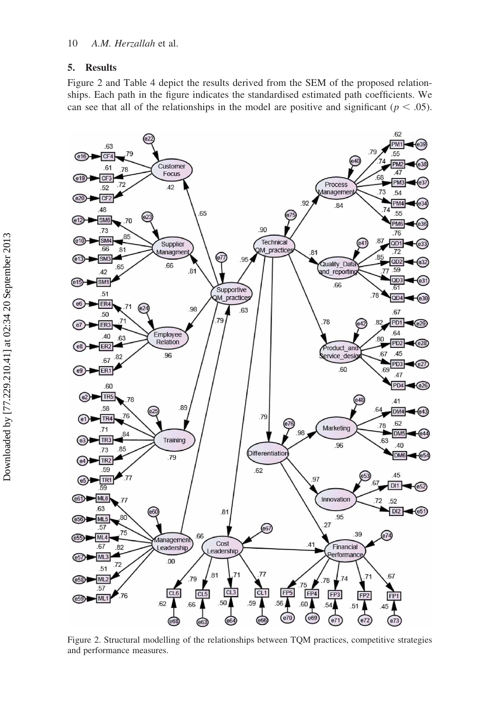#### 5. Results

Figure 2 and Table 4 depict the results derived from the SEM of the proposed relationships. Each path in the figure indicates the standardised estimated path coefficients. We can see that all of the relationships in the model are positive and significant ( $p < .05$ ).



Figure 2. Structural modelling of the relationships between TQM practices, competitive strategies and performance measures.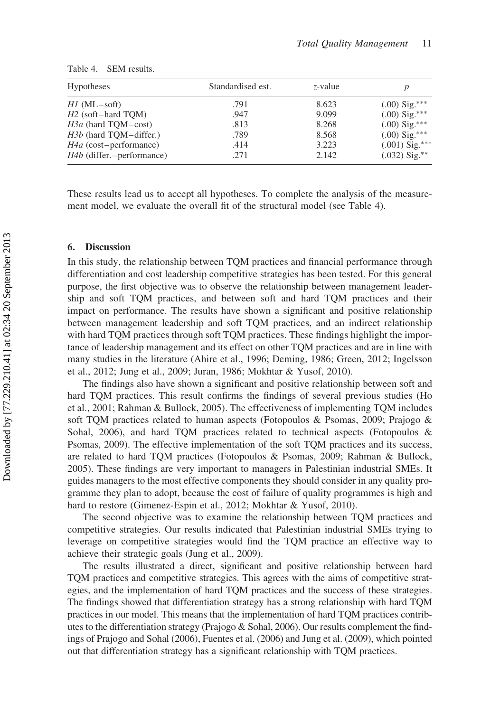| <b>Hypotheses</b>                  | Standardised est. | $z$ -value |                  |
|------------------------------------|-------------------|------------|------------------|
| $HI$ (ML $-$ soft)                 | .791              | 8.623      | $(.00)$ Sig.***  |
| H <sub>2</sub> (soft-hard TOM)     | .947              | 9.099      | $(.00)$ Sig.***  |
| H <sub>3a</sub> (hard TQM-cost)    | .813              | 8.268      | $(.00)$ Sig.***  |
| <i>H3b</i> (hard TQM-differ.)      | .789              | 8.568      | $(.00)$ Sig.***  |
| $H4a$ (cost-performance)           | .414              | 3.223      | $(.001)$ Sig.*** |
| <i>H4b</i> (differ. - performance) | .271              | 2.142      | $(.032)$ Sig.**  |

| Table 4. |  | SEM results. |
|----------|--|--------------|
|----------|--|--------------|

These results lead us to accept all hypotheses. To complete the analysis of the measurement model, we evaluate the overall fit of the structural model (see Table 4).

#### 6. Discussion

In this study, the relationship between TQM practices and financial performance through differentiation and cost leadership competitive strategies has been tested. For this general purpose, the first objective was to observe the relationship between management leadership and soft TQM practices, and between soft and hard TQM practices and their impact on performance. The results have shown a significant and positive relationship between management leadership and soft TQM practices, and an indirect relationship with hard TQM practices through soft TQM practices. These findings highlight the importance of leadership management and its effect on other TQM practices and are in line with many studies in the literature (Ahire et al., 1996; Deming, 1986; Green, 2012; Ingelsson et al., 2012; Jung et al., 2009; Juran, 1986; Mokhtar & Yusof, 2010).

The findings also have shown a significant and positive relationship between soft and hard TQM practices. This result confirms the findings of several previous studies (Ho et al., 2001; Rahman & Bullock, 2005). The effectiveness of implementing TQM includes soft TQM practices related to human aspects (Fotopoulos & Psomas, 2009; Prajogo & Sohal, 2006), and hard TQM practices related to technical aspects (Fotopoulos & Psomas, 2009). The effective implementation of the soft TQM practices and its success, are related to hard TQM practices (Fotopoulos & Psomas, 2009; Rahman & Bullock, 2005). These findings are very important to managers in Palestinian industrial SMEs. It guides managers to the most effective components they should consider in any quality programme they plan to adopt, because the cost of failure of quality programmes is high and hard to restore (Gimenez-Espin et al., 2012; Mokhtar & Yusof, 2010).

The second objective was to examine the relationship between TQM practices and competitive strategies. Our results indicated that Palestinian industrial SMEs trying to leverage on competitive strategies would find the TQM practice an effective way to achieve their strategic goals (Jung et al., 2009).

The results illustrated a direct, significant and positive relationship between hard TQM practices and competitive strategies. This agrees with the aims of competitive strategies, and the implementation of hard TQM practices and the success of these strategies. The findings showed that differentiation strategy has a strong relationship with hard TQM practices in our model. This means that the implementation of hard TQM practices contributes to the differentiation strategy (Prajogo  $&$  Sohal, 2006). Our results complement the findings of Prajogo and Sohal (2006), Fuentes et al. (2006) and Jung et al. (2009), which pointed out that differentiation strategy has a significant relationship with TQM practices.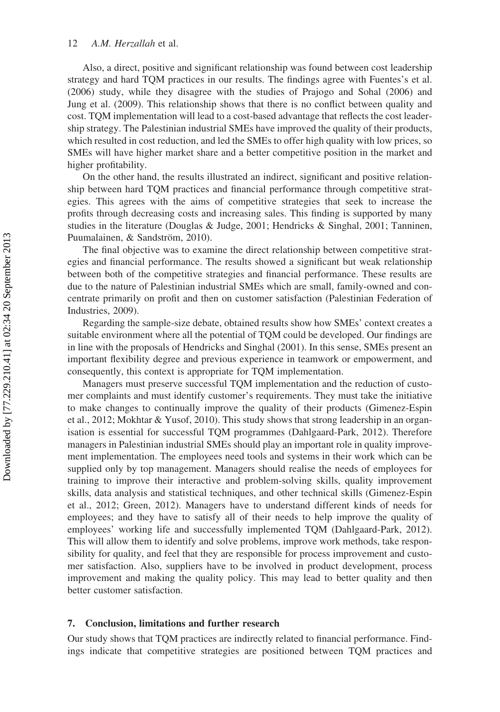Also, a direct, positive and significant relationship was found between cost leadership strategy and hard TQM practices in our results. The findings agree with Fuentes's et al. (2006) study, while they disagree with the studies of Prajogo and Sohal (2006) and Jung et al. (2009). This relationship shows that there is no conflict between quality and cost. TQM implementation will lead to a cost-based advantage that reflects the cost leadership strategy. The Palestinian industrial SMEs have improved the quality of their products, which resulted in cost reduction, and led the SMEs to offer high quality with low prices, so SMEs will have higher market share and a better competitive position in the market and higher profitability.

On the other hand, the results illustrated an indirect, significant and positive relationship between hard TQM practices and financial performance through competitive strategies. This agrees with the aims of competitive strategies that seek to increase the profits through decreasing costs and increasing sales. This finding is supported by many studies in the literature (Douglas & Judge, 2001; Hendricks & Singhal, 2001; Tanninen, Puumalainen, & Sandström, 2010).

The final objective was to examine the direct relationship between competitive strategies and financial performance. The results showed a significant but weak relationship between both of the competitive strategies and financial performance. These results are due to the nature of Palestinian industrial SMEs which are small, family-owned and concentrate primarily on profit and then on customer satisfaction (Palestinian Federation of Industries, 2009).

Regarding the sample-size debate, obtained results show how SMEs' context creates a suitable environment where all the potential of TQM could be developed. Our findings are in line with the proposals of Hendricks and Singhal (2001). In this sense, SMEs present an important flexibility degree and previous experience in teamwork or empowerment, and consequently, this context is appropriate for TQM implementation.

Managers must preserve successful TQM implementation and the reduction of customer complaints and must identify customer's requirements. They must take the initiative to make changes to continually improve the quality of their products (Gimenez-Espin et al., 2012; Mokhtar & Yusof, 2010). This study shows that strong leadership in an organisation is essential for successful TQM programmes (Dahlgaard-Park, 2012). Therefore managers in Palestinian industrial SMEs should play an important role in quality improvement implementation. The employees need tools and systems in their work which can be supplied only by top management. Managers should realise the needs of employees for training to improve their interactive and problem-solving skills, quality improvement skills, data analysis and statistical techniques, and other technical skills (Gimenez-Espin et al., 2012; Green, 2012). Managers have to understand different kinds of needs for employees; and they have to satisfy all of their needs to help improve the quality of employees' working life and successfully implemented TQM (Dahlgaard-Park, 2012). This will allow them to identify and solve problems, improve work methods, take responsibility for quality, and feel that they are responsible for process improvement and customer satisfaction. Also, suppliers have to be involved in product development, process improvement and making the quality policy. This may lead to better quality and then better customer satisfaction.

#### 7. Conclusion, limitations and further research

Our study shows that TQM practices are indirectly related to financial performance. Findings indicate that competitive strategies are positioned between TQM practices and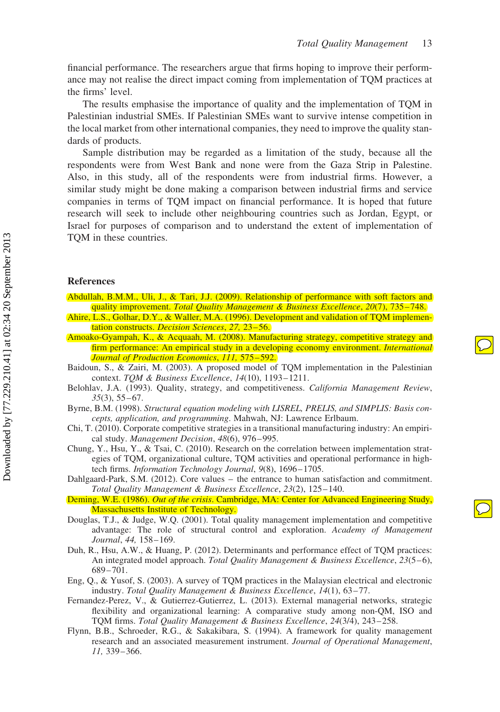$\bigcirc$ 

financial performance. The researchers argue that firms hoping to improve their performance may not realise the direct impact coming from implementation of TQM practices at the firms' level.

The results emphasise the importance of quality and the implementation of TQM in Palestinian industrial SMEs. If Palestinian SMEs want to survive intense competition in the local market from other international companies, they need to improve the quality standards of products.

Sample distribution may be regarded as a limitation of the study, because all the respondents were from West Bank and none were from the Gaza Strip in Palestine. Also, in this study, all of the respondents were from industrial firms. However, a similar study might be done making a comparison between industrial firms and service companies in terms of TQM impact on financial performance. It is hoped that future research will seek to include other neighbouring countries such as Jordan, Egypt, or Israel for purposes of comparison and to understand the extent of implementation of TQM in these countries.

#### References

- Abdullah, B.M.M., Uli, J., & Tari, J.J. (2009). Relationship of performance with soft factors and quality improvement. Total Quality Management & Business Excellence, 20(7), 735–748.
- Ahire, L.S., Golhar, D.Y., & Waller, M.A. (1996). Development and validation of TQM implementation constructs. Decision Sciences, 27, 23–56.
- Amoako-Gyampah, K., & Acquaah, M. (2008). Manufacturing strategy, competitive strategy and firm performance: An empirical study in a developing economy environment. *International* Journal of Production Economics, 111, 575–592.
- Baidoun, S., & Zairi, M. (2003). A proposed model of TQM implementation in the Palestinian context. TQM & Business Excellence, 14(10), 1193–1211.
- Belohlav, J.A. (1993). Quality, strategy, and competitiveness. California Management Review, 35(3), 55–67.
- Byrne, B.M. (1998). Structural equation modeling with LISREL, PRELIS, and SIMPLIS: Basis concepts, application, and programming. Mahwah, NJ: Lawrence Erlbaum.
- Chi, T. (2010). Corporate competitive strategies in a transitional manufacturing industry: An empirical study. Management Decision, 48(6), 976–995.
- Chung, Y., Hsu, Y., & Tsai, C. (2010). Research on the correlation between implementation strategies of TQM, organizational culture, TQM activities and operational performance in hightech firms. Information Technology Journal, 9(8), 1696–1705.
- Dahlgaard-Park, S.M. (2012). Core values the entrance to human satisfaction and commitment. Total Quality Management & Business Excellence, 23(2), 125–140.
- Deming, W.E. (1986). Out of the crisis. Cambridge, MA: Center for Advanced Engineering Study, Massachusetts Institute of Technology.
- Douglas, T.J., & Judge, W.Q. (2001). Total quality management implementation and competitive advantage: The role of structural control and exploration. Academy of Management Journal, 44, 158–169.
- Duh, R., Hsu, A.W., & Huang, P. (2012). Determinants and performance effect of TQM practices: An integrated model approach. Total Quality Management & Business Excellence, 23(5-6), 689–701.
- Eng, Q., & Yusof, S. (2003). A survey of TQM practices in the Malaysian electrical and electronic industry. Total Quality Management & Business Excellence, 14(1), 63–77.
- Fernandez-Perez, V., & Gutierrez-Gutierrez, L. (2013). External managerial networks, strategic flexibility and organizational learning: A comparative study among non-QM, ISO and TQM firms. Total Quality Management & Business Excellence, 24(3/4), 243–258.
- Flynn, B.B., Schroeder, R.G., & Sakakibara, S. (1994). A framework for quality management research and an associated measurement instrument. Journal of Operational Management, 11, 339–366.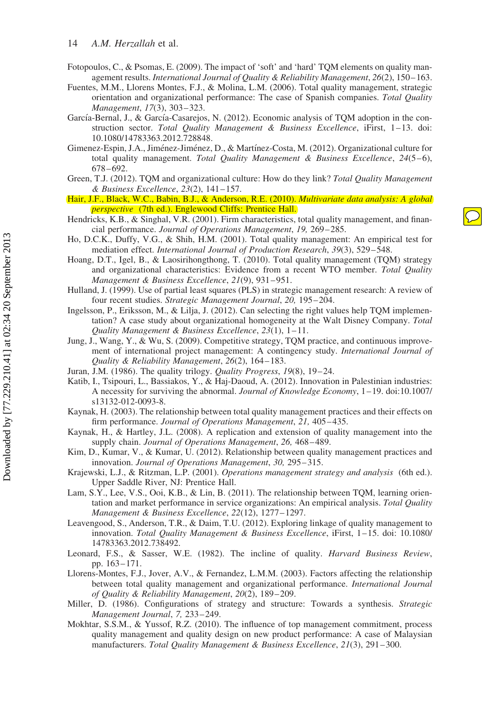Downloaded by [77.229.210.41] at 02:34 20 September 2013 Downloaded by [77.229.210.41] at 02:34 20 September 2013

- Fotopoulos, C., & Psomas, E. (2009). The impact of 'soft' and 'hard' TQM elements on quality management results. International Journal of Quality & Reliability Management, 26(2), 150–163.
- Fuentes, M.M., Llorens Montes, F.J., & Molina, L.M. (2006). Total quality management, strategic orientation and organizational performance: The case of Spanish companies. Total Quality Management, 17(3), 303–323.
- García-Bernal, J., & García-Casarejos, N. (2012). Economic analysis of TQM adoption in the construction sector. Total Quality Management & Business Excellence, iFirst, 1-13. doi: 10.1080/14783363.2012.728848.
- Gimenez-Espin, J.A., Jiménez-Jiménez, D., & Martínez-Costa, M. (2012). Organizational culture for total quality management. Total Quality Management & Business Excellence,  $24(5-6)$ , 678–692.
- Green, T.J. (2012). TQM and organizational culture: How do they link? Total Quality Management & Business Excellence, 23(2), 141–157.
- Hair, J.F., Black, W.C., Babin, B.J., & Anderson, R.E. (2010). Multivariate data analysis: A global perspective (7th ed.). Englewood Cliffs: Prentice Hall.
- Hendricks, K.B., & Singhal, V.R. (2001). Firm characteristics, total quality management, and financial performance. Journal of Operations Management, 19, 269–285.
- Ho, D.C.K., Duffy, V.G., & Shih, H.M. (2001). Total quality management: An empirical test for mediation effect. International Journal of Production Research, 39(3), 529–548.
- Hoang, D.T., Igel, B., & Laosirihongthong, T. (2010). Total quality management (TQM) strategy and organizational characteristics: Evidence from a recent WTO member. Total Quality Management & Business Excellence, 21(9), 931–951.
- Hulland, J. (1999). Use of partial least squares (PLS) in strategic management research: A review of four recent studies. Strategic Management Journal, 20, 195–204.
- Ingelsson, P., Eriksson, M., & Lilja, J. (2012). Can selecting the right values help TQM implementation? A case study about organizational homogeneity at the Walt Disney Company. Total Quality Management & Business Excellence, 23(1), 1–11.
- Jung, J., Wang, Y., & Wu, S. (2009). Competitive strategy, TQM practice, and continuous improvement of international project management: A contingency study. International Journal of Quality & Reliability Management, 26(2), 164–183.
- Juran, J.M. (1986). The quality trilogy. Quality Progress, 19(8), 19–24.
- Katib, I., Tsipouri, L., Bassiakos, Y., & Haj-Daoud, A. (2012). Innovation in Palestinian industries: A necessity for surviving the abnormal. Journal of Knowledge Economy, 1–19. doi:10.1007/ s13132-012-0093-8.
- Kaynak, H. (2003). The relationship between total quality management practices and their effects on firm performance. Journal of Operations Management, 21, 405-435.
- Kaynak, H., & Hartley, J.L. (2008). A replication and extension of quality management into the supply chain. Journal of Operations Management, 26, 468-489.
- Kim, D., Kumar, V., & Kumar, U. (2012). Relationship between quality management practices and innovation. Journal of Operations Management, 30, 295–315.
- Krajewski, L.J., & Ritzman, L.P. (2001). Operations management strategy and analysis (6th ed.). Upper Saddle River, NJ: Prentice Hall.
- Lam, S.Y., Lee, V.S., Ooi, K.B., & Lin, B. (2011). The relationship between TQM, learning orientation and market performance in service organizations: An empirical analysis. Total Quality Management & Business Excellence, 22(12), 1277–1297.
- Leavengood, S., Anderson, T.R., & Daim, T.U. (2012). Exploring linkage of quality management to innovation. Total Quality Management & Business Excellence, iFirst, 1–15. doi: 10.1080/ 14783363.2012.738492.
- Leonard, F.S., & Sasser, W.E. (1982). The incline of quality. Harvard Business Review, pp. 163–171.
- Llorens-Montes, F.J., Jover, A.V., & Fernandez, L.M.M. (2003). Factors affecting the relationship between total quality management and organizational performance. International Journal of Quality & Reliability Management, 20(2), 189–209.
- Miller, D. (1986). Configurations of strategy and structure: Towards a synthesis. Strategic Management Journal, 7, 233–249.
- Mokhtar, S.S.M., & Yussof, R.Z. (2010). The influence of top management commitment, process quality management and quality design on new product performance: A case of Malaysian manufacturers. Total Quality Management & Business Excellence, 21(3), 291-300.